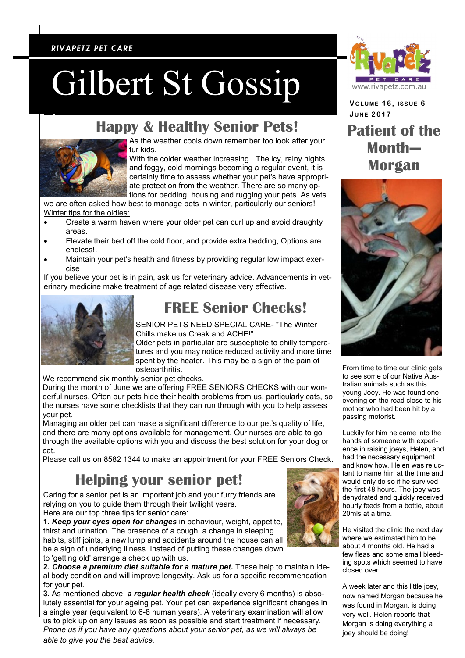#### *RIVAPETZ PET CARE RIVAPETZ PET CARE*

# Gilbert St Gossip

**Happy & Healthy Senior Pets!**



As the weather cools down remember too look after your fur kids.

With the colder weather increasing. The icy, rainy nights and foggy, cold mornings becoming a regular event, it is certainly time to assess whether your pet's have appropriate protection from the weather. There are so many options for bedding, housing and rugging your pets. As vets

we are often asked how best to manage pets in winter, particularly our seniors! Winter tips for the oldies:

- Create a warm haven where your older pet can curl up and avoid draughty areas.
- Elevate their bed off the cold floor, and provide extra bedding, Options are endless!.
- Maintain your pet's health and fitness by providing regular low impact exercise

If you believe your pet is in pain, ask us for veterinary advice. Advancements in veterinary medicine make treatment of age related disease very effective.



#### **FREE Senior Checks!**

SENIOR PETS NEED SPECIAL CARE- "The Winter Chills make us Creak and ACHE!"

Older pets in particular are susceptible to chilly temperatures and you may notice reduced activity and more time spent by the heater. This may be a sign of the pain of osteoarthritis.

We recommend six monthly senior pet checks.

During the month of June we are offering FREE SENIORS CHECKS with our wonderful nurses. Often our pets hide their health problems from us, particularly cats, so the nurses have some checklists that they can run through with you to help assess your pet.

Managing an older pet can make a significant difference to our pet's quality of life, and there are many options available for management. Our nurses are able to go through the available options with you and discuss the best solution for your dog or cat.

Please call us on 8582 1344 to make an appointment for your FREE Seniors Check.

#### **Helping your senior pet!**

Caring for a senior pet is an important job and your furry friends are relying on you to guide them through their twilight years. Here are our top three tips for senior care:

**1.** *Keep your eyes open for changes* in behaviour, weight, appetite, thirst and urination. The presence of a cough, a change in sleeping habits, stiff joints, a new lump and accidents around the house can all be a sign of underlying illness. Instead of putting these changes down to 'getting old' arrange a check up with us.

**2.** *Choose a premium diet suitable for a mature pet.* These help to maintain ideal body condition and will improve longevity. Ask us for a specific recommendation for your pet.

**3.** As mentioned above, *a regular health check* (ideally every 6 months) is absolutely essential for your ageing pet. Your pet can experience significant changes in a single year (equivalent to 6-8 human years). A veterinary examination will allow us to pick up on any issues as soon as possible and start treatment if necessary. *Phone us if you have any questions about your senior pet, as we will always be able to give you the best advice.*



**VOLUME 1 6 , ISSUE 6 JUNE 2 0 17**

### **Patient of the Month— Morgan**



From time to time our clinic gets to see some of our Native Australian animals such as this young Joey. He was found one evening on the road close to his mother who had been hit by a passing motorist.

Luckily for him he came into the hands of someone with experience in raising joeys, Helen, and had the necessary equipment and know how. Helen was reluctant to name him at the time and would only do so if he survived the first 48 hours. The joey was dehydrated and quickly received hourly feeds from a bottle, about 20mls at a time.

He visited the clinic the next day where we estimated him to be about 4 months old. He had a few fleas and some small bleeding spots which seemed to have closed over.

A week later and this little joey, now named Morgan because he was found in Morgan, is doing very well. Helen reports that Morgan is doing everything a joey should be doing!